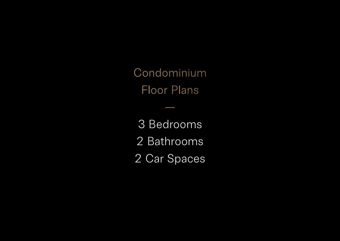Condominium Floor Plans

3 Bedrooms 2 Bathrooms 2 Car Spaces

—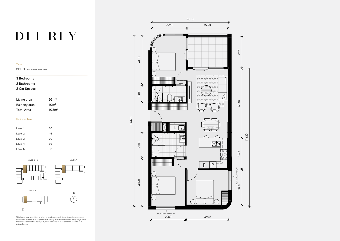This layout may be subject to minor amendments and dimensional changes to suit final working drawings and grid layouts. Living, balcony / courtyard and garage areas measured from centre line of party walls and outside face of common walls and external walls.

# DEL-REY

#### Type

3BE.1 ADAPTABLE APARTMENT

#### 3 Bedrooms

2 Bathrooms

### 2 Car Spaces

| Living area       | 93 <sub>m²</sub>  |
|-------------------|-------------------|
| Balcony area      | 10 <sup>m²</sup>  |
| <b>Total Area</b> | 103 <sup>m²</sup> |

#### Unit Numbers

| Level 1 | 30 |
|---------|----|
| Level 2 | 46 |
| Level 3 | 70 |
| Level 4 | 86 |
| Level 5 | 93 |





 $\Box$